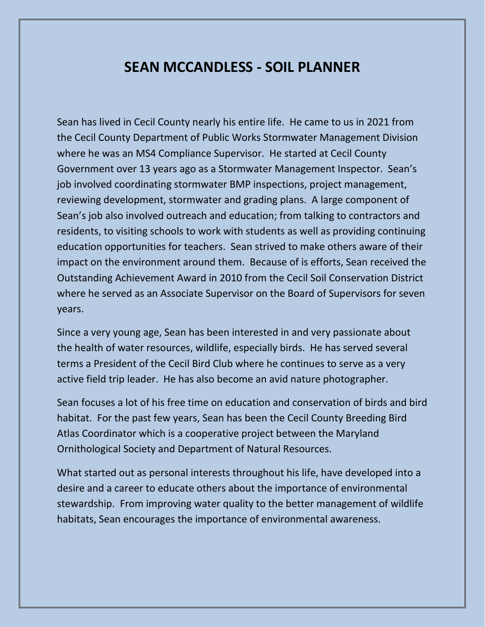## **SEAN MCCANDLESS - SOIL PLANNER**

Sean has lived in Cecil County nearly his entire life. He came to us in 2021 from the Cecil County Department of Public Works Stormwater Management Division where he was an MS4 Compliance Supervisor. He started at Cecil County Government over 13 years ago as a Stormwater Management Inspector. Sean's job involved coordinating stormwater BMP inspections, project management, reviewing development, stormwater and grading plans. A large component of Sean's job also involved outreach and education; from talking to contractors and residents, to visiting schools to work with students as well as providing continuing education opportunities for teachers. Sean strived to make others aware of their impact on the environment around them. Because of is efforts, Sean received the Outstanding Achievement Award in 2010 from the Cecil Soil Conservation District where he served as an Associate Supervisor on the Board of Supervisors for seven years.

Since a very young age, Sean has been interested in and very passionate about the health of water resources, wildlife, especially birds. He has served several terms a President of the Cecil Bird Club where he continues to serve as a very active field trip leader. He has also become an avid nature photographer.

Sean focuses a lot of his free time on education and conservation of birds and bird habitat. For the past few years, Sean has been the Cecil County Breeding Bird Atlas Coordinator which is a cooperative project between the Maryland Ornithological Society and Department of Natural Resources.

What started out as personal interests throughout his life, have developed into a desire and a career to educate others about the importance of environmental stewardship. From improving water quality to the better management of wildlife habitats, Sean encourages the importance of environmental awareness.